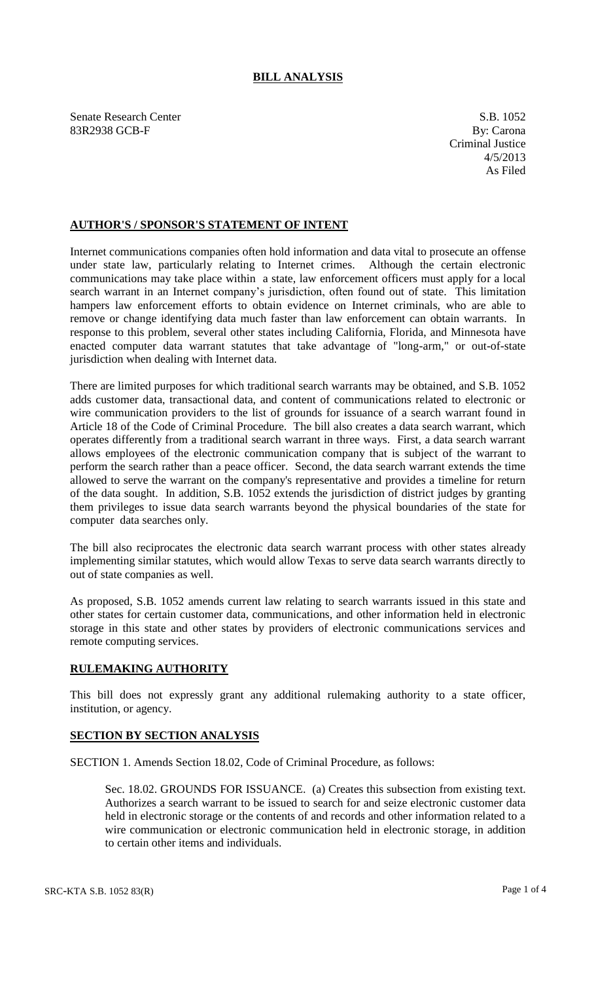## **BILL ANALYSIS**

Senate Research Center S.B. 1052 83R2938 GCB-F By: Carona

## **AUTHOR'S / SPONSOR'S STATEMENT OF INTENT**

Internet communications companies often hold information and data vital to prosecute an offense under state law, particularly relating to Internet crimes. Although the certain electronic communications may take place within a state, law enforcement officers must apply for a local search warrant in an Internet company's jurisdiction, often found out of state. This limitation hampers law enforcement efforts to obtain evidence on Internet criminals, who are able to remove or change identifying data much faster than law enforcement can obtain warrants. In response to this problem, several other states including California, Florida, and Minnesota have enacted computer data warrant statutes that take advantage of "long-arm," or out-of-state jurisdiction when dealing with Internet data.

There are limited purposes for which traditional search warrants may be obtained, and S.B. 1052 adds customer data, transactional data, and content of communications related to electronic or wire communication providers to the list of grounds for issuance of a search warrant found in Article 18 of the Code of Criminal Procedure. The bill also creates a data search warrant, which operates differently from a traditional search warrant in three ways. First, a data search warrant allows employees of the electronic communication company that is subject of the warrant to perform the search rather than a peace officer. Second, the data search warrant extends the time allowed to serve the warrant on the company's representative and provides a timeline for return of the data sought. In addition, S.B. 1052 extends the jurisdiction of district judges by granting them privileges to issue data search warrants beyond the physical boundaries of the state for computer data searches only.

The bill also reciprocates the electronic data search warrant process with other states already implementing similar statutes, which would allow Texas to serve data search warrants directly to out of state companies as well.

As proposed, S.B. 1052 amends current law relating to search warrants issued in this state and other states for certain customer data, communications, and other information held in electronic storage in this state and other states by providers of electronic communications services and remote computing services.

## **RULEMAKING AUTHORITY**

This bill does not expressly grant any additional rulemaking authority to a state officer, institution, or agency.

## **SECTION BY SECTION ANALYSIS**

SECTION 1. Amends Section 18.02, Code of Criminal Procedure, as follows:

Sec. 18.02. GROUNDS FOR ISSUANCE. (a) Creates this subsection from existing text. Authorizes a search warrant to be issued to search for and seize electronic customer data held in electronic storage or the contents of and records and other information related to a wire communication or electronic communication held in electronic storage, in addition to certain other items and individuals.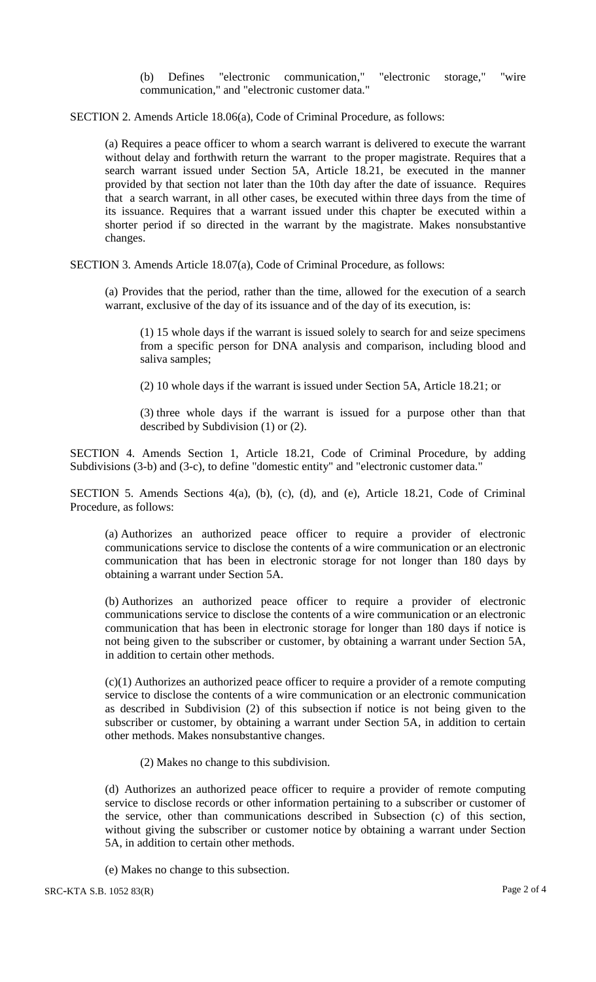(b) Defines "electronic communication," "electronic storage," "wire communication," and "electronic customer data."

SECTION 2. Amends Article 18.06(a), Code of Criminal Procedure, as follows:

(a) Requires a peace officer to whom a search warrant is delivered to execute the warrant without delay and forthwith return the warrant to the proper magistrate. Requires that a search warrant issued under Section 5A, Article 18.21, be executed in the manner provided by that section not later than the 10th day after the date of issuance. Requires that a search warrant, in all other cases, be executed within three days from the time of its issuance. Requires that a warrant issued under this chapter be executed within a shorter period if so directed in the warrant by the magistrate. Makes nonsubstantive changes.

SECTION 3. Amends Article 18.07(a), Code of Criminal Procedure, as follows:

(a) Provides that the period, rather than the time, allowed for the execution of a search warrant, exclusive of the day of its issuance and of the day of its execution, is:

(1) 15 whole days if the warrant is issued solely to search for and seize specimens from a specific person for DNA analysis and comparison, including blood and saliva samples;

(2) 10 whole days if the warrant is issued under Section 5A, Article 18.21; or

(3) three whole days if the warrant is issued for a purpose other than that described by Subdivision (1) or (2).

SECTION 4. Amends Section 1, Article 18.21, Code of Criminal Procedure, by adding Subdivisions (3-b) and (3-c), to define "domestic entity" and "electronic customer data."

SECTION 5. Amends Sections 4(a), (b), (c), (d), and (e), Article 18.21, Code of Criminal Procedure, as follows:

(a) Authorizes an authorized peace officer to require a provider of electronic communications service to disclose the contents of a wire communication or an electronic communication that has been in electronic storage for not longer than 180 days by obtaining a warrant under Section 5A.

(b) Authorizes an authorized peace officer to require a provider of electronic communications service to disclose the contents of a wire communication or an electronic communication that has been in electronic storage for longer than 180 days if notice is not being given to the subscriber or customer, by obtaining a warrant under Section 5A, in addition to certain other methods.

(c)(1) Authorizes an authorized peace officer to require a provider of a remote computing service to disclose the contents of a wire communication or an electronic communication as described in Subdivision (2) of this subsection if notice is not being given to the subscriber or customer, by obtaining a warrant under Section 5A, in addition to certain other methods. Makes nonsubstantive changes.

(2) Makes no change to this subdivision.

(d) Authorizes an authorized peace officer to require a provider of remote computing service to disclose records or other information pertaining to a subscriber or customer of the service, other than communications described in Subsection (c) of this section, without giving the subscriber or customer notice by obtaining a warrant under Section 5A, in addition to certain other methods.

(e) Makes no change to this subsection.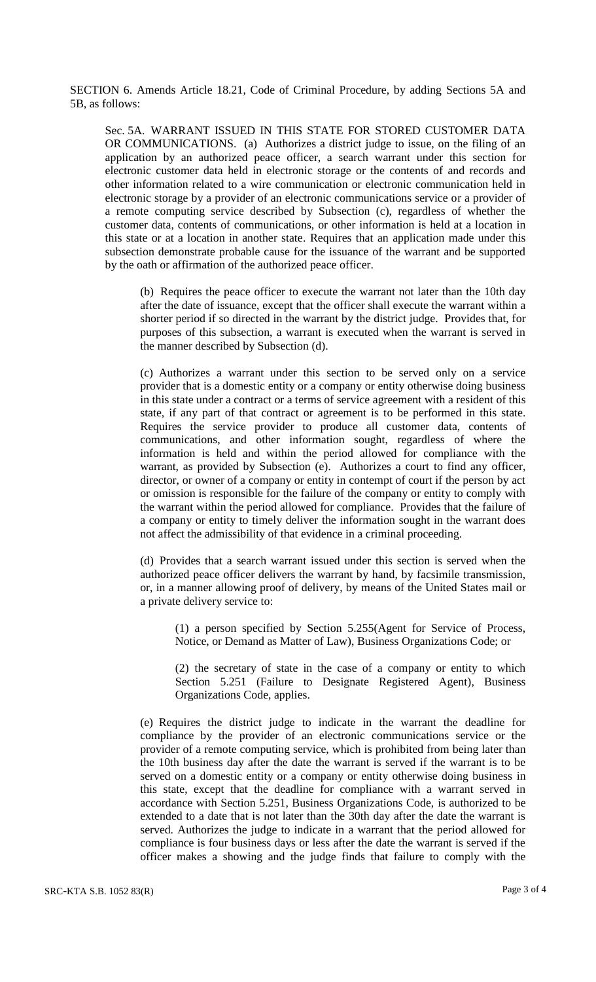SECTION 6. Amends Article 18.21, Code of Criminal Procedure, by adding Sections 5A and 5B, as follows:

Sec. 5A. WARRANT ISSUED IN THIS STATE FOR STORED CUSTOMER DATA OR COMMUNICATIONS. (a) Authorizes a district judge to issue, on the filing of an application by an authorized peace officer, a search warrant under this section for electronic customer data held in electronic storage or the contents of and records and other information related to a wire communication or electronic communication held in electronic storage by a provider of an electronic communications service or a provider of a remote computing service described by Subsection (c), regardless of whether the customer data, contents of communications, or other information is held at a location in this state or at a location in another state. Requires that an application made under this subsection demonstrate probable cause for the issuance of the warrant and be supported by the oath or affirmation of the authorized peace officer.

(b) Requires the peace officer to execute the warrant not later than the 10th day after the date of issuance, except that the officer shall execute the warrant within a shorter period if so directed in the warrant by the district judge. Provides that, for purposes of this subsection, a warrant is executed when the warrant is served in the manner described by Subsection (d).

(c) Authorizes a warrant under this section to be served only on a service provider that is a domestic entity or a company or entity otherwise doing business in this state under a contract or a terms of service agreement with a resident of this state, if any part of that contract or agreement is to be performed in this state. Requires the service provider to produce all customer data, contents of communications, and other information sought, regardless of where the information is held and within the period allowed for compliance with the warrant, as provided by Subsection (e). Authorizes a court to find any officer, director, or owner of a company or entity in contempt of court if the person by act or omission is responsible for the failure of the company or entity to comply with the warrant within the period allowed for compliance. Provides that the failure of a company or entity to timely deliver the information sought in the warrant does not affect the admissibility of that evidence in a criminal proceeding.

(d) Provides that a search warrant issued under this section is served when the authorized peace officer delivers the warrant by hand, by facsimile transmission, or, in a manner allowing proof of delivery, by means of the United States mail or a private delivery service to:

(1) a person specified by Section 5.255(Agent for Service of Process, Notice, or Demand as Matter of Law), Business Organizations Code; or

(2) the secretary of state in the case of a company or entity to which Section 5.251 (Failure to Designate Registered Agent), Business Organizations Code, applies.

(e) Requires the district judge to indicate in the warrant the deadline for compliance by the provider of an electronic communications service or the provider of a remote computing service, which is prohibited from being later than the 10th business day after the date the warrant is served if the warrant is to be served on a domestic entity or a company or entity otherwise doing business in this state, except that the deadline for compliance with a warrant served in accordance with Section 5.251, Business Organizations Code, is authorized to be extended to a date that is not later than the 30th day after the date the warrant is served. Authorizes the judge to indicate in a warrant that the period allowed for compliance is four business days or less after the date the warrant is served if the officer makes a showing and the judge finds that failure to comply with the